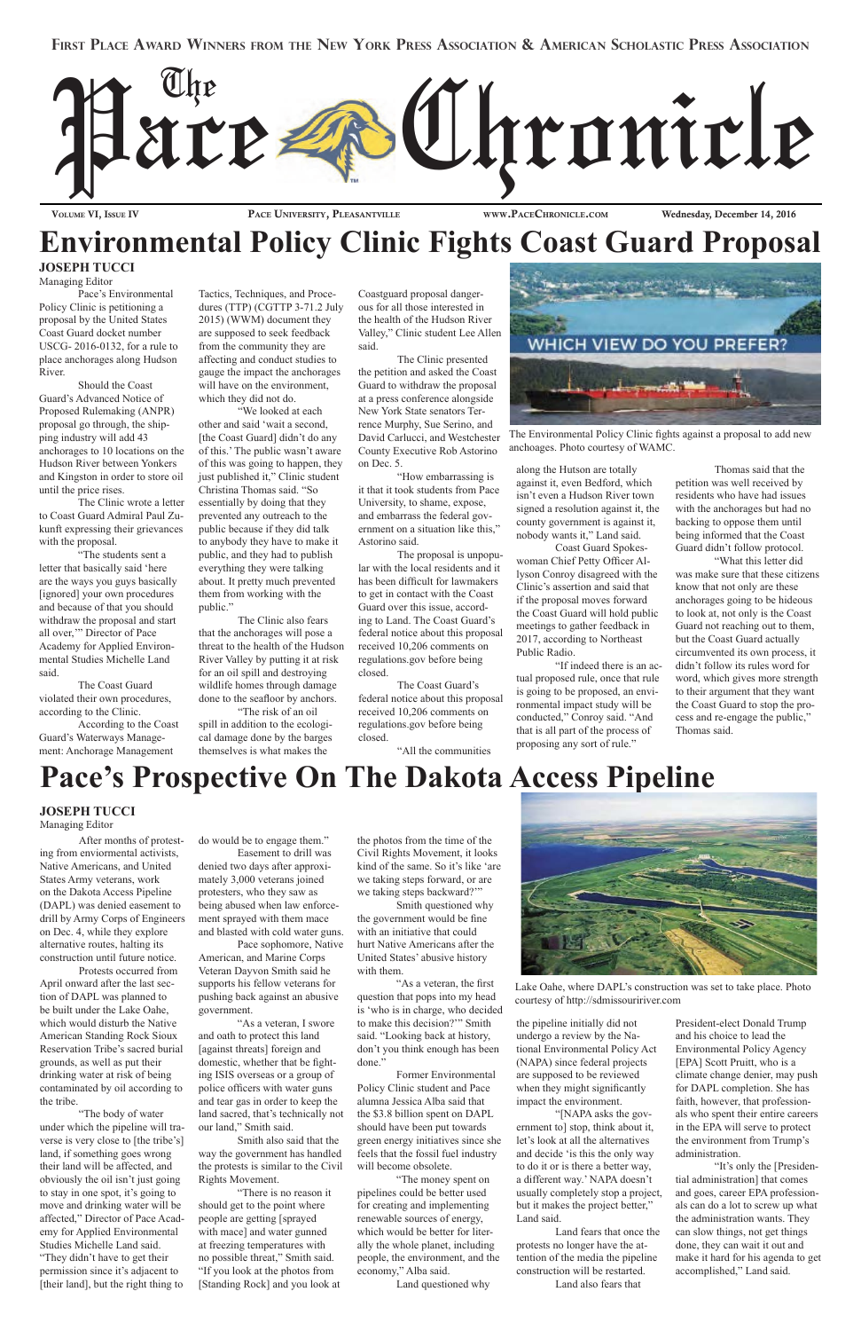#### **First Place Award Winners from the New York Press Association & American Scholastic Press Association**



VOLUME VI, ISSUE IV PACE UNIVERSITY, PLEASANTVILLE WWW.PACECHRONICLE.COM Wednesday, December 14, 2016

### **Environmental Policy Clinic Fights Coast Guard Proposal**

#### **JOSEPH TUCCI**  Managing Editor

Pace's Environmental Policy Clinic is petitioning a proposal by the United States Coast Guard docket number USCG- 2016-0132, for a rule to place anchorages along Hudson River.

Should the Coast Guard's Advanced Notice of Proposed Rulemaking (ANPR) proposal go through, the shipping industry will add 43 anchorages to 10 locations on the Hudson River between Yonkers and Kingston in order to store oil until the price rises.

The Clinic wrote a letter to Coast Guard Admiral Paul Zukunft expressing their grievances with the proposal.

"The students sent a letter that basically said 'here are the ways you guys basically [ignored] your own procedures and because of that you should withdraw the proposal and start all over,'" Director of Pace Academy for Applied Environmental Studies Michelle Land said.

The Coast Guard violated their own procedures, according to the Clinic.

According to the Coast Guard's Waterways Management: Anchorage Management

Tactics, Techniques, and Procedures (TTP) (CGTTP 3-71.2 July 2015) (WWM) document they are supposed to seek feedback from the community they are affecting and conduct studies to gauge the impact the anchorages will have on the environment, which they did not do.

"We looked at each other and said 'wait a second, [the Coast Guard] didn't do any of this.' The public wasn't aware of this was going to happen, they just published it," Clinic student Christina Thomas said. "So essentially by doing that they prevented any outreach to the public because if they did talk to anybody they have to make it public, and they had to publish everything they were talking about. It pretty much prevented them from working with the public."

The Clinic also fears that the anchorages will pose a threat to the health of the Hudson River Valley by putting it at risk for an oil spill and destroying wildlife homes through damage done to the seafloor by anchors.

"The risk of an oil spill in addition to the ecological damage done by the barges themselves is what makes the

Coastguard proposal dangerous for all those interested in the health of the Hudson River Valley," Clinic student Lee Allen said.

The Clinic presented the petition and asked the Coast Guard to withdraw the proposal at a press conference alongside New York State senators Terrence Murphy, Sue Serino, and David Carlucci, and Westchester County Executive Rob Astorino on Dec. 5.

"How embarrassing is it that it took students from Pace University, to shame, expose, and embarrass the federal government on a situation like this," Astorino said.

The proposal is unpopular with the local residents and it has been difficult for lawmakers to get in contact with the Coast Guard over this issue, according to Land. The Coast Guard's federal notice about this proposal received 10,206 comments on regulations.gov before being closed.

The Coast Guard's federal notice about this proposal received 10,206 comments on regulations.gov before being closed.

"All the communities



The Environmental Policy Clinic fights against a proposal to add new anchoages. Photo courtesy of WAMC.

along the Hutson are totally against it, even Bedford, which isn't even a Hudson River town signed a resolution against it, the county government is against it, nobody wants it," Land said.

Coast Guard Spokeswoman Chief Petty Officer Allyson Conroy disagreed with the Clinic's assertion and said that if the proposal moves forward the Coast Guard will hold public meetings to gather feedback in 2017, according to Northeast Public Radio.

"If indeed there is an actual proposed rule, once that rule is going to be proposed, an environmental impact study will be conducted," Conroy said. "And that is all part of the process of proposing any sort of rule."

Thomas said that the petition was well received by residents who have had issues with the anchorages but had no backing to oppose them until being informed that the Coast Guard didn't follow protocol. "What this letter did

was make sure that these citizens know that not only are these anchorages going to be hideous to look at, not only is the Coast Guard not reaching out to them, but the Coast Guard actually circumvented its own process, it didn't follow its rules word for word, which gives more strength to their argument that they want the Coast Guard to stop the process and re-engage the public," Thomas said.

### **Pace's Prospective On The Dakota Access Pipeline**

After months of protesting from enviormental activists, Native Americans, and United States Army veterans, work on the Dakota Access Pipeline (DAPL) was denied easement to drill by Army Corps of Engineers on Dec. 4, while they explore alternative routes, halting its construction until future notice.

Protests occurred from April onward after the last section of DAPL was planned to be built under the Lake Oahe, which would disturb the Native American Standing Rock Sioux Reservation Tribe's sacred burial grounds, as well as put their drinking water at risk of being contaminated by oil according to the tribe. "The body of water under which the pipeline will traverse is very close to [the tribe's] land, if something goes wrong their land will be affected, and obviously the oil isn't just going to stay in one spot, it's going to move and drinking water will be affected," Director of Pace Academy for Applied Environmental Studies Michelle Land said. "They didn't have to get their permission since it's adjacent to [their land], but the right thing to

do would be to engage them."

Easement to drill was denied two days after approximately 3,000 veterans joined protesters, who they saw as being abused when law enforcement sprayed with them mace and blasted with cold water guns.

Pace sophomore, Native American, and Marine Corps Veteran Dayvon Smith said he supports his fellow veterans for pushing back against an abusive government.

"As a veteran, I swore and oath to protect this land [against threats] foreign and domestic, whether that be fighting ISIS overseas or a group of police officers with water guns and tear gas in order to keep the land sacred, that's technically not our land," Smith said.

Smith also said that the way the government has handled the protests is similar to the Civil Rights Movement.

"There is no reason it should get to the point where people are getting [sprayed with mace] and water gunned at freezing temperatures with no possible threat," Smith said. "If you look at the photos from [Standing Rock] and you look at the photos from the time of the Civil Rights Movement, it looks kind of the same. So it's like 'are we taking steps forward, or are we taking steps backward?'"

Smith questioned why the government would be fine with an initiative that could hurt Native Americans after the United States' abusive history with them.



"As a veteran, the first question that pops into my head is 'who is in charge, who decided to make this decision?'" Smith said. "Looking back at history, don't you think enough has been done."

Former Environmental Policy Clinic student and Pace alumna Jessica Alba said that the \$3.8 billion spent on DAPL should have been put towards green energy initiatives since she feels that the fossil fuel industry will become obsolete.

"The money spent on pipelines could be better used for creating and implementing renewable sources of energy, which would be better for literally the whole planet, including people, the environment, and the economy," Alba said.

Land questioned why

the pipeline initially did not undergo a review by the National Environmental Policy Act (NAPA) since federal projects are supposed to be reviewed when they might significantly impact the environment.

"[NAPA asks the government to] stop, think about it, let's look at all the alternatives and decide 'is this the only way to do it or is there a better way, a different way.' NAPA doesn't usually completely stop a project, but it makes the project better," Land said.

Land fears that once the protests no longer have the attention of the media the pipeline construction will be restarted. Land also fears that

President-elect Donald Trump and his choice to lead the Environmental Policy Agency [EPA] Scott Pruitt, who is a climate change denier, may push for DAPL completion. She has faith, however, that professionals who spent their entire careers in the EPA will serve to protect the environment from Trump's administration.

"It's only the [Presidential administration] that comes and goes, career EPA professionals can do a lot to screw up what the administration wants. They can slow things, not get things done, they can wait it out and make it hard for his agenda to get accomplished," Land said.

#### **JOSEPH TUCCI**

Managing Editor

Lake Oahe, where DAPL's construction was set to take place. Photo courtesy of http://sdmissouririver.com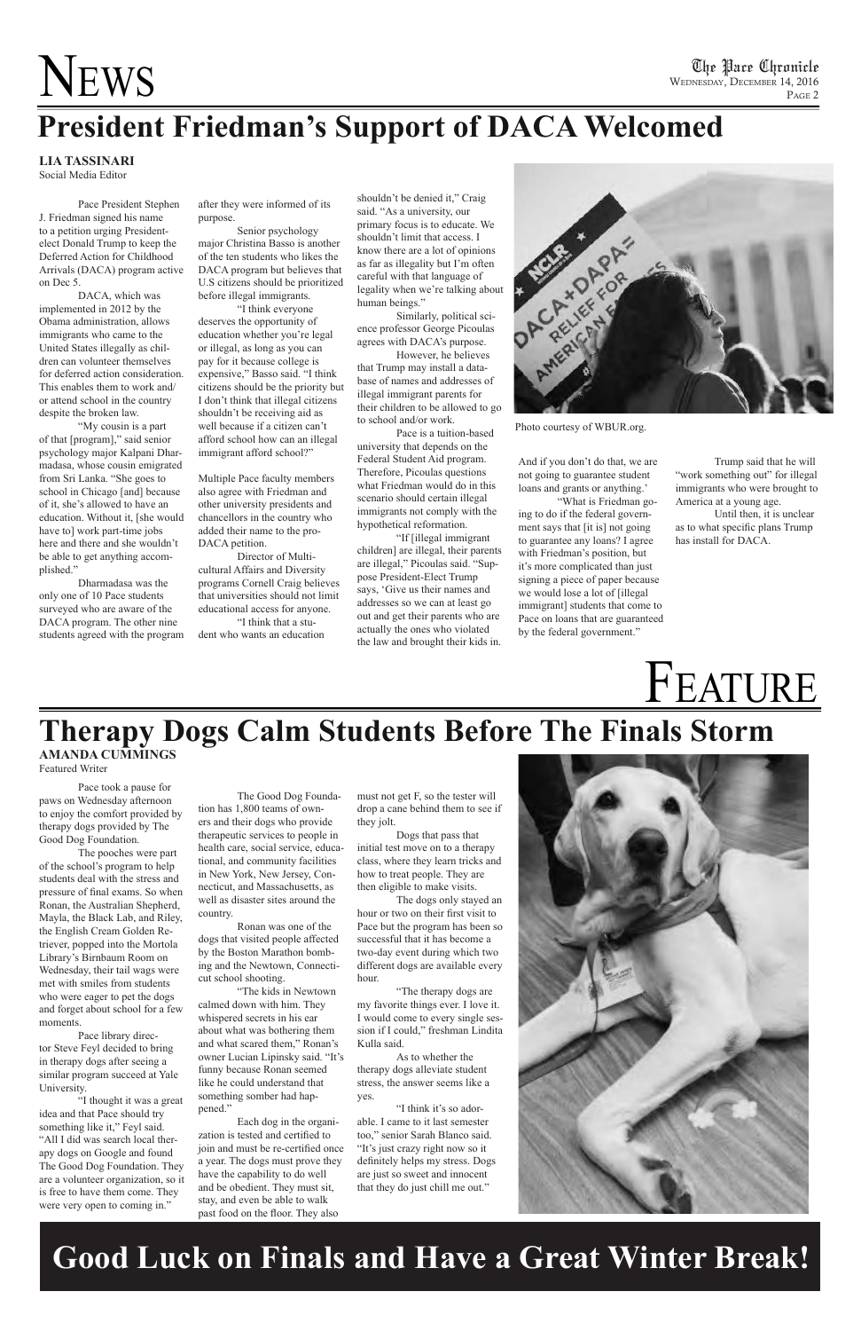## NEWS

## **President Friedman's Support of DACA Welcomed**

#### **LIA TASSINARI** Social Media Editor

Pace President Stephen J. Friedman signed his name to a petition urging Presidentelect Donald Trump to keep the Deferred Action for Childhood Arrivals (DACA) program active on Dec 5.

DACA, which was implemented in 2012 by the Obama administration, allows immigrants who came to the United States illegally as children can volunteer themselves for deferred action consideration. This enables them to work and/ or attend school in the country despite the broken law.

"My cousin is a part of that [program]," said senior psychology major Kalpani Dharmadasa, whose cousin emigrated from Sri Lanka. "She goes to school in Chicago [and] because of it, she's allowed to have an education. Without it, [she would have to] work part-time jobs here and there and she wouldn't be able to get anything accomplished."

Dharmadasa was the only one of 10 Pace students surveyed who are aware of the DACA program. The other nine students agreed with the program after they were informed of its purpose.

Senior psychology major Christina Basso is another of the ten students who likes the DACA program but believes that U.S citizens should be prioritized before illegal immigrants.

"I think everyone deserves the opportunity of education whether you're legal or illegal, as long as you can pay for it because college is expensive," Basso said. "I think citizens should be the priority but I don't think that illegal citizens shouldn't be receiving aid as well because if a citizen can't afford school how can an illegal immigrant afford school?"

Multiple Pace faculty members also agree with Friedman and other university presidents and chancellors in the country who added their name to the pro-DACA petition.

Director of Multicultural Affairs and Diversity programs Cornell Craig believes that universities should not limit educational access for anyone. "I think that a stu-

dent who wants an education

shouldn't be denied it," Craig said. "As a university, our primary focus is to educate. We shouldn't limit that access. I know there are a lot of opinions as far as illegality but I'm often careful with that language of legality when we're talking about human beings."

Similarly, political science professor George Picoulas agrees with DACA's purpose.

However, he believes that Trump may install a database of names and addresses of illegal immigrant parents for their children to be allowed to go to school and/or work.

Pace is a tuition-based university that depends on the Federal Student Aid program. Therefore, Picoulas questions what Friedman would do in this scenario should certain illegal immigrants not comply with the hypothetical reformation.

"If [illegal immigrant children] are illegal, their parents are illegal," Picoulas said. "Suppose President-Elect Trump says, 'Give us their names and addresses so we can at least go out and get their parents who are actually the ones who violated the law and brought their kids in. And if you don't do that, we are not going to guarantee student loans and grants or anything.'

"What is Friedman going to do if the federal government says that [it is] not going to guarantee any loans? I agree with Friedman's position, but it's more complicated than just signing a piece of paper because we would lose a lot of [illegal immigrant] students that come to Pace on loans that are guaranteed by the federal government."

Trump said that he will "work something out" for illegal immigrants who were brought to America at a young age.

Until then, it is unclear as to what specific plans Trump has install for DACA.

## FEATURE

Pace took a pause for paws on Wednesday afternoon to enjoy the comfort provided by therapy dogs provided by The Good Dog Foundation.

The pooches were part of the school's program to help students deal with the stress and pressure of final exams. So when Ronan, the Australian Shepherd, Mayla, the Black Lab, and Riley, the English Cream Golden Retriever, popped into the Mortola Library's Birnbaum Room on Wednesday, their tail wags were met with smiles from students who were eager to pet the dogs and forget about school for a few moments.

Pace library director Steve Feyl decided to bring in therapy dogs after seeing a similar program succeed at Yale University.

"I thought it was a great idea and that Pace should try something like it," Feyl said. "All I did was search local therapy dogs on Google and found The Good Dog Foundation. They are a volunteer organization, so it is free to have them come. They were very open to coming in."

The Good Dog Foundation has 1,800 teams of own-

ers and their dogs who provide therapeutic services to people in health care, social service, educational, and community facilities in New York, New Jersey, Connecticut, and Massachusetts, as well as disaster sites around the country.

Ronan was one of the dogs that visited people affected by the Boston Marathon bombing and the Newtown, Connecticut school shooting.

### **Therapy Dogs Calm Students Before The Finals Storm AMANDA CUMMINGS**

"The kids in Newtown calmed down with him. They whispered secrets in his ear about what was bothering them and what scared them," Ronan's owner Lucian Lipinsky said. "It's funny because Ronan seemed like he could understand that something somber had happened."

Each dog in the organization is tested and certified to join and must be re-certified once a year. The dogs must prove they have the capability to do well and be obedient. They must sit, stay, and even be able to walk past food on the floor. They also

must not get F, so the tester will drop a cane behind them to see if they jolt.

Dogs that pass that initial test move on to a therapy class, where they learn tricks and how to treat people. They are then eligible to make visits.

The dogs only stayed an hour or two on their first visit to Pace but the program has been so successful that it has become a two-day event during which two different dogs are available every



hour.

"The therapy dogs are my favorite things ever. I love it. I would come to every single session if I could," freshman Lindita Kulla said.

As to whether the therapy dogs alleviate student stress, the answer seems like a yes.

"I think it's so adorable. I came to it last semester too," senior Sarah Blanco said. "It's just crazy right now so it definitely helps my stress. Dogs are just so sweet and innocent that they do just chill me out."

### **Good Luck on Finals and Have a Great Winter Break!**



Photo courtesy of WBUR.org.

Featured Writer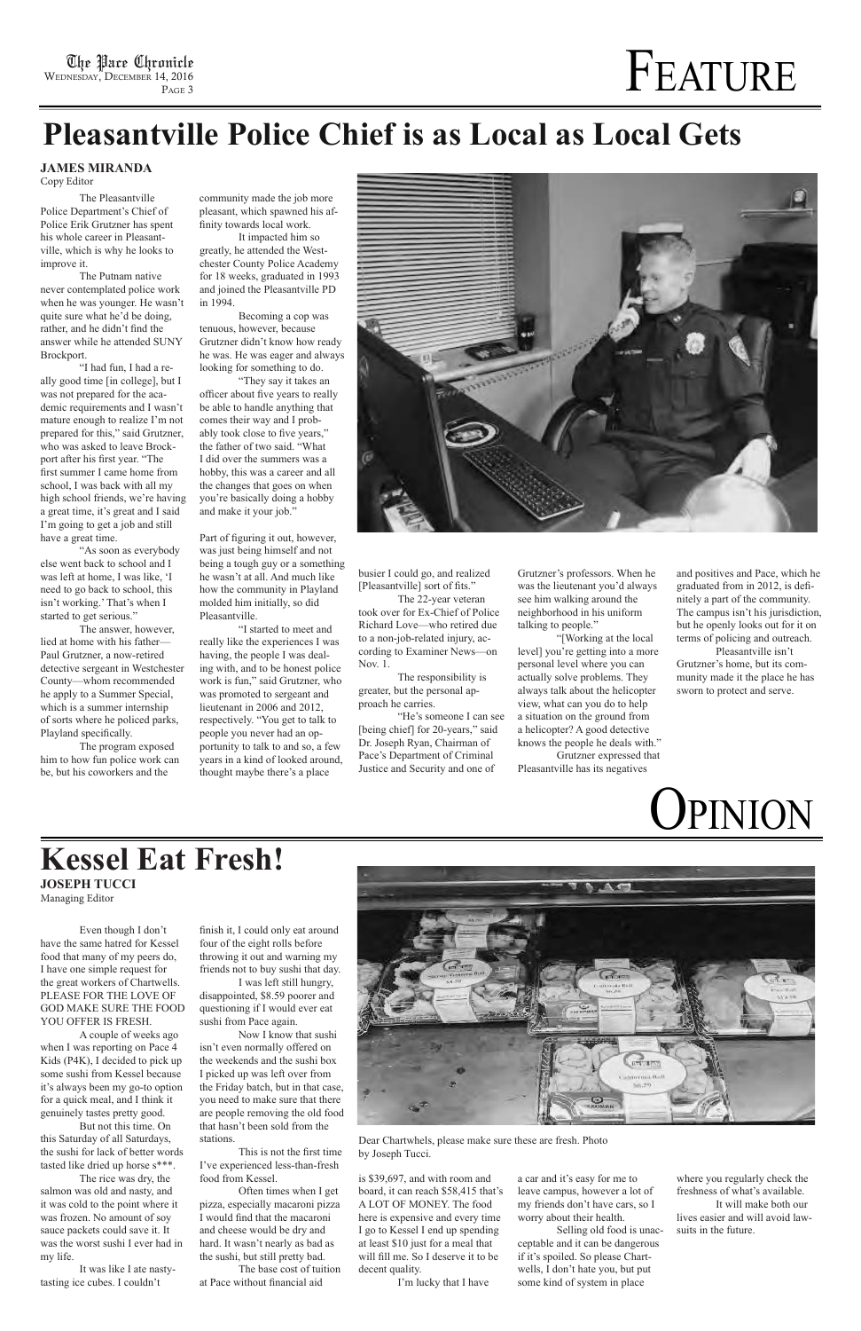## The Place Chronicle  $\Gamma_{\text{P}_{\text{ACF},3}}$

Even though I don't have the same hatred for Kessel food that many of my peers do, I have one simple request for

the great workers of Chartwells. PLEASE FOR THE LOVE OF GOD MAKE SURE THE FOOD YOU OFFER IS FRESH.

A couple of weeks ago

when I was reporting on Pace 4 Kids (P4K), I decided to pick up some sushi from Kessel because it's always been my go-to option for a quick meal, and I think it genuinely tastes pretty good.

But not this time. On this Saturday of all Saturdays, the sushi for lack of better words tasted like dried up horse s\*\*\*.

The rice was dry, the salmon was old and nasty, and it was cold to the point where it was frozen. No amount of soy sauce packets could save it. It was the worst sushi I ever had in my life.

It was like I ate nastytasting ice cubes. I couldn't

is \$39,697, and with room and board, it can reach \$58,415 that's A LOT OF MONEY. The food here is expensive and every time I go to Kessel I end up spending at least \$10 just for a meal that will fill me. So I deserve it to be decent quality.

I'm lucky that I have

finish it, I could only eat around four of the eight rolls before throwing it out and warning my friends not to buy sushi that day.



I was left still hungry, disappointed, \$8.59 poorer and questioning if I would ever eat sushi from Pace again.

Now I know that sushi isn't even normally offered on the weekends and the sushi box I picked up was left over from the Friday batch, but in that case, you need to make sure that there are people removing the old food that hasn't been sold from the stations.

This is not the first time I've experienced less-than-fresh food from Kessel.

Often times when I get pizza, especially macaroni pizza I would find that the macaroni and cheese would be dry and hard. It wasn't nearly as bad as the sushi, but still pretty bad.

The base cost of tuition at Pace without financial aid

Dear Chartwhels, please make sure these are fresh. Photo by Joseph Tucci.

## **Pleasantville Police Chief is as Local as Local Gets**

The Pleasantville Police Department's Chief of Police Erik Grutzner has spent his whole career in Pleasantville, which is why he looks to improve it.

The Putnam native never contemplated police work when he was younger. He wasn't quite sure what he'd be doing, rather, and he didn't find the answer while he attended SUNY Brockport.

"I had fun, I had a really good time [in college], but I was not prepared for the academic requirements and I wasn't mature enough to realize I'm not prepared for this," said Grutzner, who was asked to leave Brockport after his first year. "The first summer I came home from school, I was back with all my high school friends, we're having a great time, it's great and I said I'm going to get a job and still have a great time.

"As soon as everybody else went back to school and I was left at home, I was like, 'I need to go back to school, this isn't working.' That's when I started to get serious."

The answer, however, lied at home with his father— Paul Grutzner, a now-retired detective sergeant in Westchester County—whom recommended he apply to a Summer Special, which is a summer internship of sorts where he policed parks, Playland specifically.

### **Kessel Eat Fresh! JOSEPH TUCCI**

The program exposed him to how fun police work can be, but his coworkers and the

community made the job more pleasant, which spawned his affinity towards local work.

It impacted him so greatly, he attended the Westchester County Police Academy for 18 weeks, graduated in 1993 and joined the Pleasantville PD in 1994.

Becoming a cop was tenuous, however, because Grutzner didn't know how ready he was. He was eager and always looking for something to do.

"They say it takes an officer about five years to really be able to handle anything that comes their way and I probably took close to five years," the father of two said. "What I did over the summers was a hobby, this was a career and all the changes that goes on when you're basically doing a hobby and make it your job."

Part of figuring it out, however, was just being himself and not being a tough guy or a something he wasn't at all. And much like how the community in Playland molded him initially, so did Pleasantville.

"I started to meet and really like the experiences I was having, the people I was dealing with, and to be honest police work is fun," said Grutzner, who was promoted to sergeant and lieutenant in 2006 and 2012, respectively. "You get to talk to people you never had an opportunity to talk to and so, a few years in a kind of looked around, thought maybe there's a place



busier I could go, and realized [Pleasantville] sort of fits."

The 22-year veteran took over for Ex-Chief of Police Richard Love—who retired due to a non-job-related injury, according to Examiner News—on Nov. 1.

The responsibility is greater, but the personal approach he carries.

"He's someone I can see [being chief] for 20-years," said Dr. Joseph Ryan, Chairman of Pace's Department of Criminal Justice and Security and one of

Grutzner's professors. When he was the lieutenant you'd always see him walking around the neighborhood in his uniform talking to people."

"[Working at the local level] you're getting into a more personal level where you can actually solve problems. They always talk about the helicopter view, what can you do to help a situation on the ground from a helicopter? A good detective knows the people he deals with."

Grutzner expressed that Pleasantville has its negatives

and positives and Pace, which he graduated from in 2012, is definitely a part of the community. The campus isn't his jurisdiction, but he openly looks out for it on terms of policing and outreach.

Pleasantville isn't Grutzner's home, but its community made it the place he has sworn to protect and serve.

a car and it's easy for me to leave campus, however a lot of my friends don't have cars, so I worry about their health.

Selling old food is unacceptable and it can be dangerous if it's spoiled. So please Chartwells, I don't hate you, but put some kind of system in place

where you regularly check the freshness of what's available. It will make both our lives easier and will avoid lawsuits in the future.

#### **JAMES MIRANDA**

Copy Editor



Managing Editor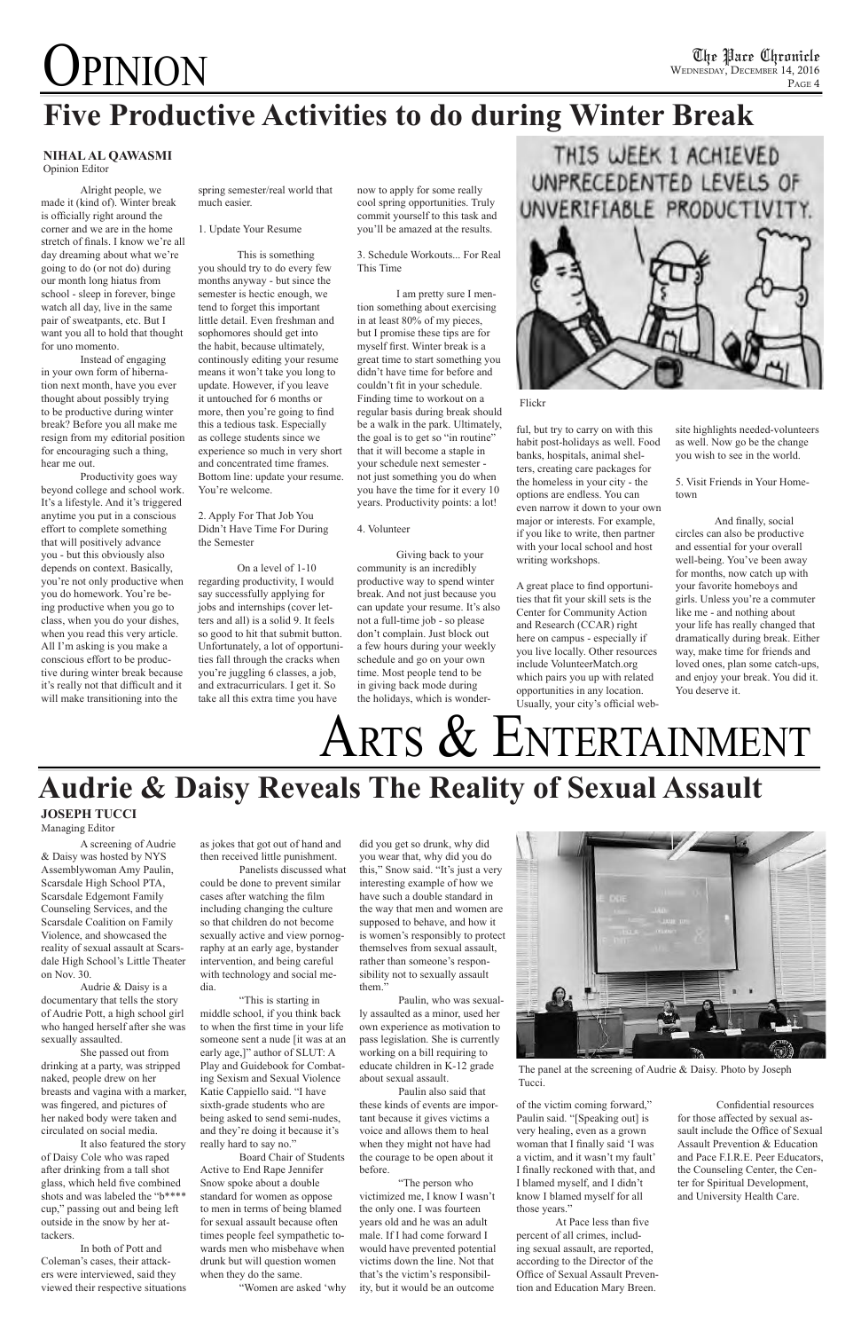# **OPINION**

Alright people, we made it (kind of). Winter break is officially right around the corner and we are in the home stretch of finals. I know we're all day dreaming about what we're going to do (or not do) during our month long hiatus from school - sleep in forever, binge watch all day, live in the same pair of sweatpants, etc. But I want you all to hold that thought for uno momento.

Instead of engaging in your own form of hibernation next month, have you ever thought about possibly trying to be productive during winter break? Before you all make me resign from my editorial position for encouraging such a thing, hear me out.

Productivity goes way beyond college and school work. It's a lifestyle. And it's triggered anytime you put in a conscious effort to complete something that will positively advance you - but this obviously also depends on context. Basically, you're not only productive when you do homework. You're being productive when you go to class, when you do your dishes, when you read this very article. All I'm asking is you make a conscious effort to be productive during winter break because it's really not that difficult and it will make transitioning into the

spring semester/real world that much easier.

#### 1. Update Your Resume

This is something you should try to do every few months anyway - but since the semester is hectic enough, we tend to forget this important little detail. Even freshman and sophomores should get into the habit, because ultimately, continously editing your resume means it won't take you long to update. However, if you leave it untouched for 6 months or more, then you're going to find this a tedious task. Especially as college students since we experience so much in very short and concentrated time frames. Bottom line: update your resume. You're welcome.

2. Apply For That Job You Didn't Have Time For During the Semester

On a level of 1-10 regarding productivity, I would say successfully applying for jobs and internships (cover letters and all) is a solid 9. It feels so good to hit that submit button. Unfortunately, a lot of opportunities fall through the cracks when you're juggling 6 classes, a job, and extracurriculars. I get it. So take all this extra time you have

now to apply for some really cool spring opportunities. Truly commit yourself to this task and you'll be amazed at the results.

3. Schedule Workouts... For Real This Time

I am pretty sure I mention something about exercising in at least 80% of my pieces, but I promise these tips are for myself first. Winter break is a great time to start something you didn't have time for before and couldn't fit in your schedule. Finding time to workout on a regular basis during break should be a walk in the park. Ultimately, the goal is to get so "in routine" that it will become a staple in your schedule next semester not just something you do when you have the time for it every 10 years. Productivity points: a lot!

#### 4. Volunteer

Giving back to your community is an incredibly productive way to spend winter break. And not just because you can update your resume. It's also not a full-time job - so please don't complain. Just block out a few hours during your weekly schedule and go on your own time. Most people tend to be in giving back mode during the holidays, which is wonder-





ful, but try to carry on with this habit post-holidays as well. Food banks, hospitals, animal shelters, creating care packages for the homeless in your city - the options are endless. You can even narrow it down to your own major or interests. For example, if you like to write, then partner with your local school and host writing workshops.

A great place to find opportunities that fit your skill sets is the Center for Community Action and Research (CCAR) right here on campus - especially if you live locally. Other resources include VolunteerMatch.org which pairs you up with related opportunities in any location. Usually, your city's official web-

Flickr

## **Five Productive Activities to do during Winter Break**

site highlights needed-volunteers as well. Now go be the change you wish to see in the world.

5. Visit Friends in Your Hometown

### **Audrie & Daisy Reveals The Reality of Sexual Assault JOSEPH TUCCI**

And finally, social circles can also be productive and essential for your overall well-being. You've been away for months, now catch up with your favorite homeboys and girls. Unless you're a commuter like me - and nothing about your life has really changed that dramatically during break. Either way, make time for friends and loved ones, plan some catch-ups, and enjoy your break. You did it. You deserve it.

## ARTS & ENTERTAINMENT

#### **NIHAL AL QAWASMI**  Opinion Editor

The panel at the screening of Audrie & Daisy. Photo by Joseph Tucci.

Managing Editor

A screening of Audrie & Daisy was hosted by NYS Assemblywoman Amy Paulin, Scarsdale High School PTA, Scarsdale Edgemont Family Counseling Services, and the Scarsdale Coalition on Family Violence, and showcased the reality of sexual assault at Scarsdale High School's Little Theater on Nov. 30.

Audrie & Daisy is a documentary that tells the story of Audrie Pott, a high school girl who hanged herself after she was sexually assaulted.

She passed out from drinking at a party, was stripped naked, people drew on her breasts and vagina with a marker, was fingered, and pictures of her naked body were taken and circulated on social media.

It also featured the story of Daisy Cole who was raped after drinking from a tall shot glass, which held five combined shots and was labeled the "b\*\*\*\* cup," passing out and being left outside in the snow by her attackers.

In both of Pott and Coleman's cases, their attackers were interviewed, said they viewed their respective situations as jokes that got out of hand and then received little punishment.

Panelists discussed what could be done to prevent similar cases after watching the film including changing the culture so that children do not become sexually active and view pornography at an early age, bystander intervention, and being careful with technology and social me-

#### dia.

"This is starting in middle school, if you think back to when the first time in your life someone sent a nude [it was at an early age,]" author of SLUT: A Play and Guidebook for Combating Sexism and Sexual Violence Katie Cappiello said. "I have sixth-grade students who are being asked to send semi-nudes, and they're doing it because it's really hard to say no."

Board Chair of Students Active to End Rape Jennifer Snow spoke about a double standard for women as oppose to men in terms of being blamed for sexual assault because often times people feel sympathetic towards men who misbehave when drunk but will question women when they do the same.

"Women are asked 'why

did you get so drunk, why did you wear that, why did you do this," Snow said. "It's just a very interesting example of how we have such a double standard in the way that men and women are supposed to behave, and how it is women's responsibly to protect themselves from sexual assault, rather than someone's responsibility not to sexually assault



them."

Paulin, who was sexually assaulted as a minor, used her own experience as motivation to pass legislation. She is currently working on a bill requiring to educate children in K-12 grade about sexual assault.

Paulin also said that

these kinds of events are important because it gives victims a voice and allows them to heal when they might not have had the courage to be open about it before.

"The person who victimized me, I know I wasn't the only one. I was fourteen years old and he was an adult male. If I had come forward I would have prevented potential victims down the line. Not that that's the victim's responsibility, but it would be an outcome of the victim coming forward," Paulin said. "[Speaking out] is very healing, even as a grown woman that I finally said 'I was a victim, and it wasn't my fault' I finally reckoned with that, and I blamed myself, and I didn't know I blamed myself for all those years."

At Pace less than five percent of all crimes, including sexual assault, are reported, according to the Director of the Office of Sexual Assault Prevention and Education Mary Breen.

Confidential resources for those affected by sexual assault include the Office of Sexual Assault Prevention & Education and Pace F.I.R.E. Peer Educators, the Counseling Center, the Center for Spiritual Development, and University Health Care.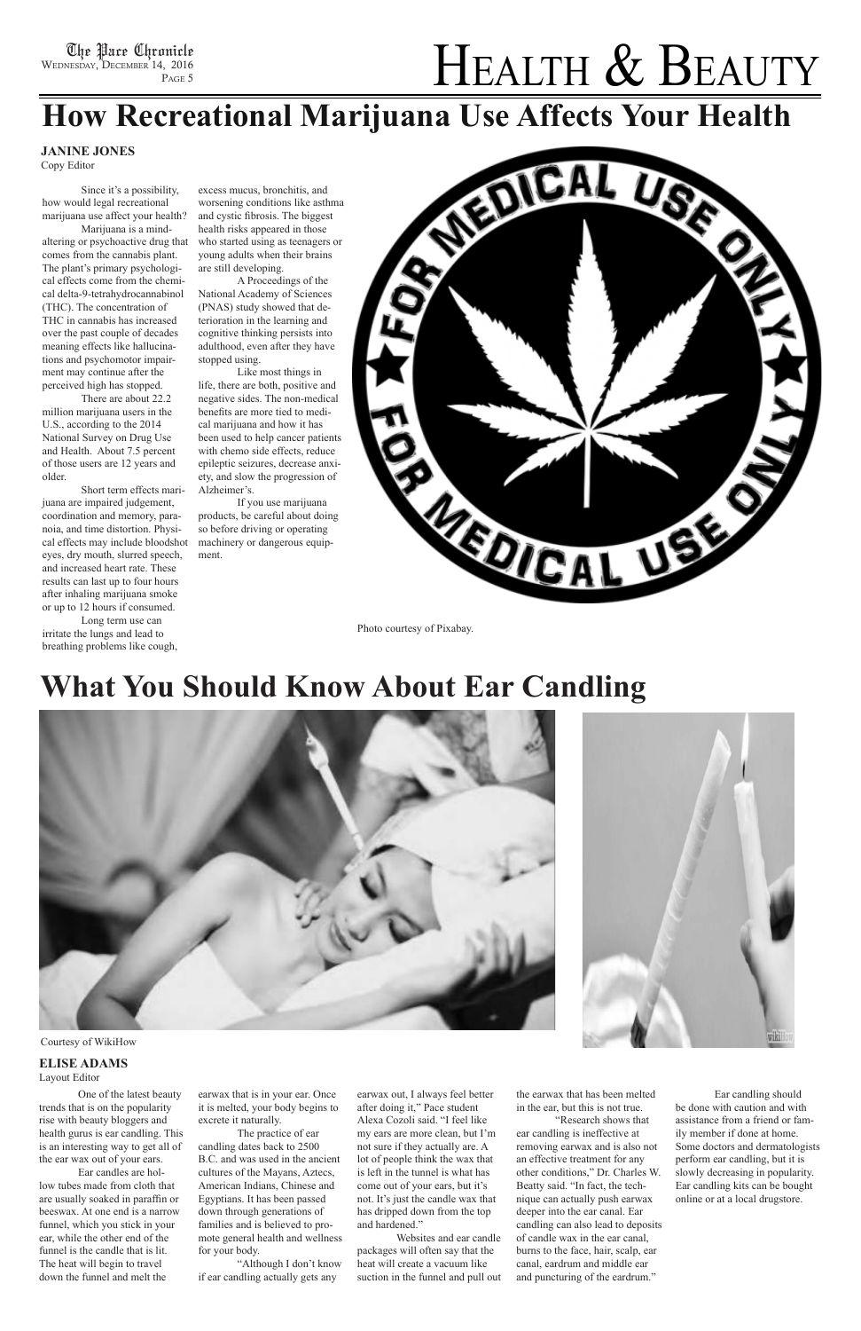## HEALTH & BEAUTY

One of the latest beauty trends that is on the popularity rise with beauty bloggers and health gurus is ear candling. This is an interesting way to get all of the ear wax out of your ears.

Ear candles are hollow tubes made from cloth that are usually soaked in paraffin or beeswax. At one end is a narrow funnel, which you stick in your ear, while the other end of the funnel is the candle that is lit. The heat will begin to travel down the funnel and melt the

earwax that is in your ear. Once it is melted, your body begins to excrete it naturally.

The practice of ear candling dates back to 2500 B.C. and was used in the ancient cultures of the Mayans, Aztecs, American Indians, Chinese and Egyptians. It has been passed down through generations of families and is believed to promote general health and wellness for your body.

"Although I don't know if ear candling actually gets any

earwax out, I always feel better after doing it," Pace student Alexa Cozoli said. "I feel like my ears are more clean, but I'm not sure if they actually are. A lot of people think the wax that is left in the tunnel is what has come out of your ears, but it's not. It's just the candle wax that has dripped down from the top and hardened."

Websites and ear candle packages will often say that the heat will create a vacuum like suction in the funnel and pull out



Since it's a possibility, how would legal recreational marijuana use affect your health?

Marijuana is a mindaltering or psychoactive drug that comes from the cannabis plant. The plant's primary psychological effects come from the chemical delta-9-tetrahydrocannabinol (THC). The concentration of THC in cannabis has increased over the past couple of decades meaning effects like hallucinations and psychomotor impairment may continue after the perceived high has stopped.

There are about 22.2 million marijuana users in the U.S., according to the 2014 National Survey on Drug Use and Health. About 7.5 percent of those users are 12 years and older.

Short term effects marijuana are impaired judgement, coordination and memory, paranoia, and time distortion. Physical effects may include bloodshot eyes, dry mouth, slurred speech, and increased heart rate. These results can last up to four hours after inhaling marijuana smoke or up to 12 hours if consumed.

Long term use can irritate the lungs and lead to breathing problems like cough,

excess mucus, bronchitis, and worsening conditions like asthma and cystic fibrosis. The biggest health risks appeared in those who started using as teenagers or young adults when their brains are still developing.

A Proceedings of the National Academy of Sciences (PNAS) study showed that deterioration in the learning and cognitive thinking persists into adulthood, even after they have stopped using.

Like most things in life, there are both, positive and negative sides. The non-medical benefits are more tied to medical marijuana and how it has been used to help cancer patients with chemo side effects, reduce epileptic seizures, decrease anxiety, and slow the progression of Alzheimer's.

If you use marijuana products, be careful about doing so before driving or operating machinery or dangerous equipment.

Photo courtesy of Pixabay.

## **What You Should Know About Ear Candling**







#### **JANINE JONES**

Copy Editor

the earwax that has been melted in the ear, but this is not true.

"Research shows that ear candling is ineffective at removing earwax and is also not an effective treatment for any other conditions," Dr. Charles W. Beatty said. "In fact, the technique can actually push earwax deeper into the ear canal. Ear candling can also lead to deposits of candle wax in the ear canal, burns to the face, hair, scalp, ear canal, eardrum and middle ear and puncturing of the eardrum."

Ear candling should be done with caution and with assistance from a friend or family member if done at home. Some doctors and dermatologists perform ear candling, but it is slowly decreasing in popularity. Ear candling kits can be bought online or at a local drugstore.

Courtesy of WikiHow

#### **ELISE ADAMS** Layout Editor